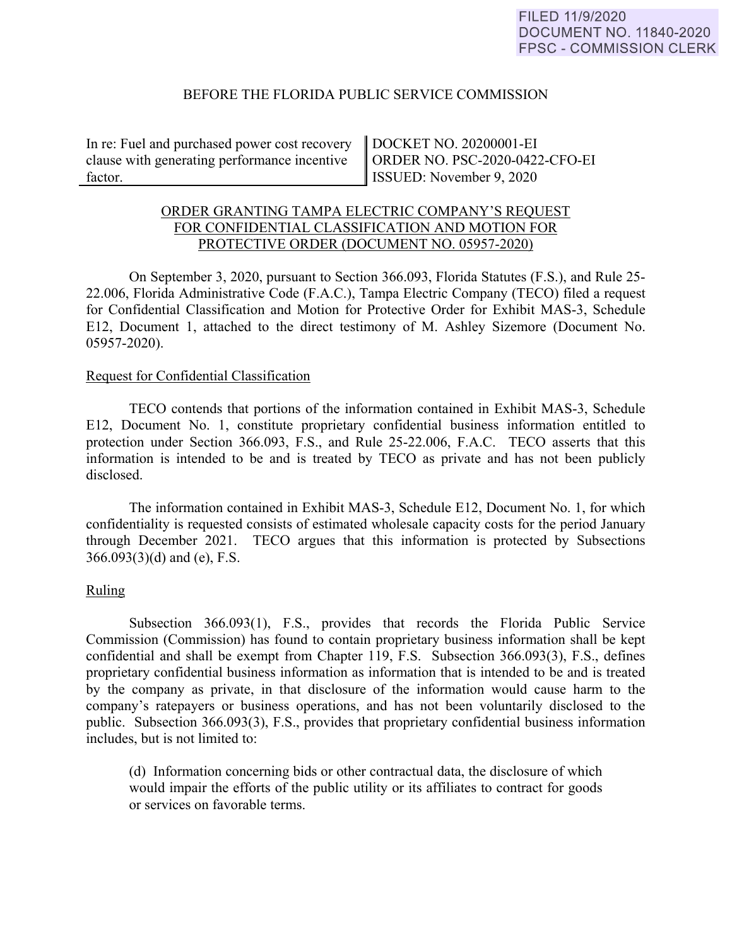#### BEFORE THE FLORIDA PUBLIC SERVICE COMMISSION

In re: Fuel and purchased power cost recovery clause with generating performance incentive factor.

DOCKET NO. 20200001-EI ORDER NO. PSC-2020-0422-CFO-EI ISSUED: November 9, 2020

# ORDER GRANTING TAMPA ELECTRIC COMPANY'S REQUEST FOR CONFIDENTIAL CLASSIFICATION AND MOTION FOR PROTECTIVE ORDER (DOCUMENT NO. 05957-2020)

On September 3, 2020, pursuant to Section 366.093, Florida Statutes (F.S.), and Rule 25- 22.006, Florida Administrative Code (F.A.C.), Tampa Electric Company (TECO) filed a request for Confidential Classification and Motion for Protective Order for Exhibit MAS-3, Schedule E12, Document 1, attached to the direct testimony of M. Ashley Sizemore (Document No. 05957-2020).

#### Request for Confidential Classification

 TECO contends that portions of the information contained in Exhibit MAS-3, Schedule E12, Document No. 1, constitute proprietary confidential business information entitled to protection under Section 366.093, F.S., and Rule 25-22.006, F.A.C. TECO asserts that this information is intended to be and is treated by TECO as private and has not been publicly disclosed.

The information contained in Exhibit MAS-3, Schedule E12, Document No. 1, for which confidentiality is requested consists of estimated wholesale capacity costs for the period January through December 2021. TECO argues that this information is protected by Subsections 366.093(3)(d) and (e), F.S.

# Ruling

Subsection 366.093(1), F.S., provides that records the Florida Public Service Commission (Commission) has found to contain proprietary business information shall be kept confidential and shall be exempt from Chapter 119, F.S. Subsection 366.093(3), F.S., defines proprietary confidential business information as information that is intended to be and is treated by the company as private, in that disclosure of the information would cause harm to the company's ratepayers or business operations, and has not been voluntarily disclosed to the public. Subsection 366.093(3), F.S., provides that proprietary confidential business information includes, but is not limited to:

 (d) Information concerning bids or other contractual data, the disclosure of which would impair the efforts of the public utility or its affiliates to contract for goods or services on favorable terms.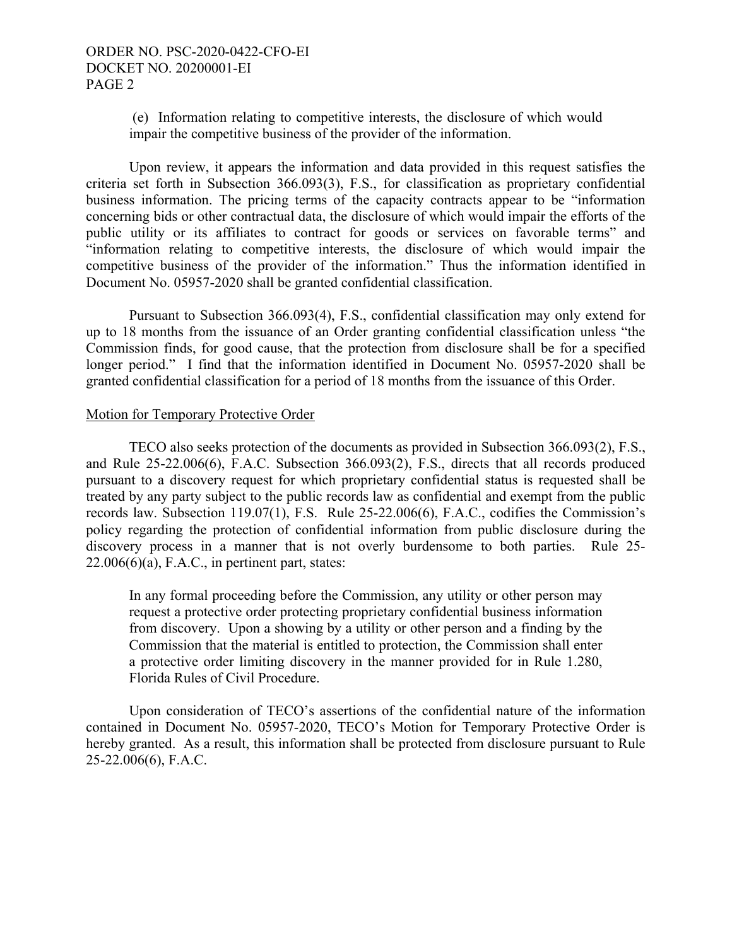(e) Information relating to competitive interests, the disclosure of which would impair the competitive business of the provider of the information.

 Upon review, it appears the information and data provided in this request satisfies the criteria set forth in Subsection 366.093(3), F.S., for classification as proprietary confidential business information. The pricing terms of the capacity contracts appear to be "information concerning bids or other contractual data, the disclosure of which would impair the efforts of the public utility or its affiliates to contract for goods or services on favorable terms" and "information relating to competitive interests, the disclosure of which would impair the competitive business of the provider of the information." Thus the information identified in Document No. 05957-2020 shall be granted confidential classification.

Pursuant to Subsection 366.093(4), F.S., confidential classification may only extend for up to 18 months from the issuance of an Order granting confidential classification unless "the Commission finds, for good cause, that the protection from disclosure shall be for a specified longer period." I find that the information identified in Document No. 05957-2020 shall be granted confidential classification for a period of 18 months from the issuance of this Order.

#### Motion for Temporary Protective Order

TECO also seeks protection of the documents as provided in Subsection 366.093(2), F.S., and Rule 25-22.006(6), F.A.C. Subsection 366.093(2), F.S., directs that all records produced pursuant to a discovery request for which proprietary confidential status is requested shall be treated by any party subject to the public records law as confidential and exempt from the public records law. Subsection 119.07(1), F.S. Rule 25-22.006(6), F.A.C., codifies the Commission's policy regarding the protection of confidential information from public disclosure during the discovery process in a manner that is not overly burdensome to both parties. Rule 25-  $22.006(6)(a)$ , F.A.C., in pertinent part, states:

In any formal proceeding before the Commission, any utility or other person may request a protective order protecting proprietary confidential business information from discovery. Upon a showing by a utility or other person and a finding by the Commission that the material is entitled to protection, the Commission shall enter a protective order limiting discovery in the manner provided for in Rule 1.280, Florida Rules of Civil Procedure.

 Upon consideration of TECO's assertions of the confidential nature of the information contained in Document No. 05957-2020, TECO's Motion for Temporary Protective Order is hereby granted. As a result, this information shall be protected from disclosure pursuant to Rule 25-22.006(6), F.A.C.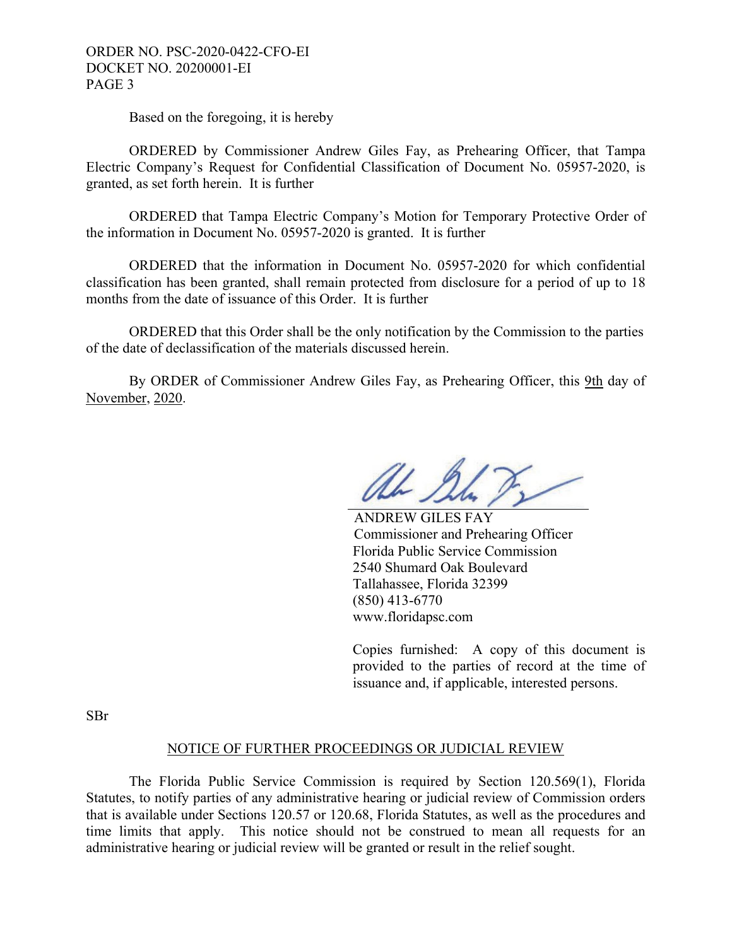ORDER NO. PSC-2020-0422-CFO-EI DOCKET NO. 20200001-EI PAGE 3

Based on the foregoing, it is hereby

 ORDERED by Commissioner Andrew Giles Fay, as Prehearing Officer, that Tampa Electric Company's Request for Confidential Classification of Document No. 05957-2020, is granted, as set forth herein. It is further

 ORDERED that Tampa Electric Company's Motion for Temporary Protective Order of the information in Document No. 05957-2020 is granted. It is further

 ORDERED that the information in Document No. 05957-2020 for which confidential classification has been granted, shall remain protected from disclosure for a period of up to 18 months from the date of issuance of this Order. It is further

 ORDERED that this Order shall be the only notification by the Commission to the parties of the date of declassification of the materials discussed herein.

 By ORDER of Commissioner Andrew Giles Fay, as Prehearing Officer, this 9th day of November, 2020.

hh I

 ANDREW GILES FAY Commissioner and Prehearing Officer Florida Public Service Commission 2540 Shumard Oak Boulevard Tallahassee, Florida 32399 (850) 413-6770 www.floridapsc.com

Copies furnished: A copy of this document is provided to the parties of record at the time of issuance and, if applicable, interested persons.

SBr

# NOTICE OF FURTHER PROCEEDINGS OR JUDICIAL REVIEW

 The Florida Public Service Commission is required by Section 120.569(1), Florida Statutes, to notify parties of any administrative hearing or judicial review of Commission orders that is available under Sections 120.57 or 120.68, Florida Statutes, as well as the procedures and time limits that apply. This notice should not be construed to mean all requests for an administrative hearing or judicial review will be granted or result in the relief sought.